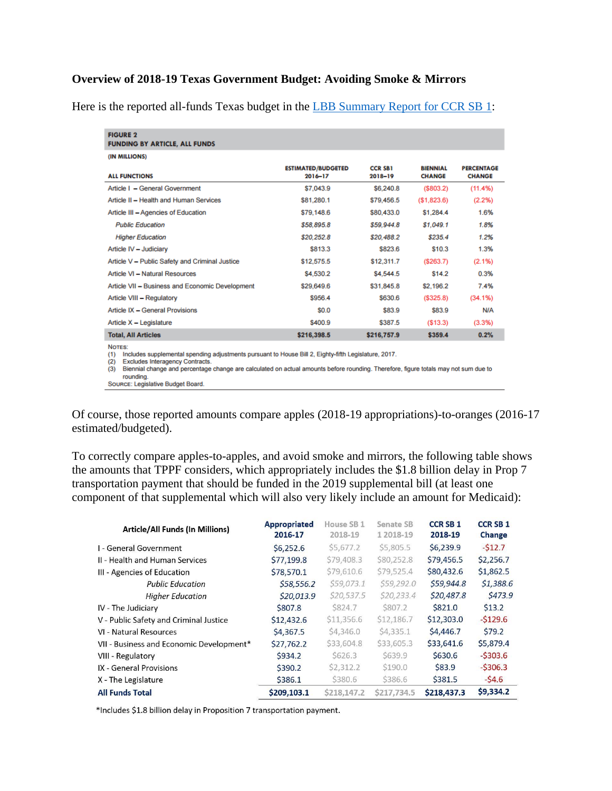## **Overview of 2018-19 Texas Government Budget: Avoiding Smoke & Mirrors**

Here is the reported all-funds Texas budget in the [LBB Summary Report for CCR SB 1:](http://www.lbb.state.tx.us/Documents/Appropriations_Bills/85/Conference_Bills/4083_Summary_CCR_SB1_2018-19.pdf)

| <b>FIGURE 2</b><br><b>FUNDING BY ARTICLE, ALL FUNDS</b> |                                      |                           |                                  |                                    |
|---------------------------------------------------------|--------------------------------------|---------------------------|----------------------------------|------------------------------------|
| (IN MILLIONS)                                           |                                      |                           |                                  |                                    |
| <b>ALL FUNCTIONS</b>                                    | <b>ESTIMATED/BUDGETED</b><br>2016-17 | <b>CCR SB1</b><br>2018-19 | <b>BIENNIAL</b><br><b>CHANGE</b> | <b>PERCENTAGE</b><br><b>CHANGE</b> |
| Article I - General Government                          | \$7,043.9                            | \$6,240.8                 | (S803.2)                         | (11.4%)                            |
| Article II - Health and Human Services                  | \$81,280.1                           | \$79,456.5                | (S1,823.6)                       | (2.2%)                             |
| Article III - Agencies of Education                     | \$79,148.6                           | \$80,433.0                | \$1,284.4                        | 1.6%                               |
| <b>Public Education</b>                                 | \$58,895.8                           | \$59,944.8                | \$1,049.1                        | 1.8%                               |
| <b>Higher Education</b>                                 | \$20,252.8                           | \$20,488.2                | \$235.4                          | 1.2%                               |
| Article IV - Judiciary                                  | \$813.3                              | \$823.6                   | \$10.3                           | 1.3%                               |
| Article V - Public Safety and Criminal Justice          | \$12,575.5                           | \$12,311.7                | (S263.7)                         | (2.1%)                             |
| Article VI - Natural Resources                          | \$4,530.2                            | \$4,544.5                 | \$14.2                           | 0.3%                               |
| Article VII - Business and Economic Development         | \$29,649.6                           | \$31,845.8                | \$2,196.2                        | 7.4%                               |
| Article VIII - Regulatory                               | \$956.4                              | \$630.6                   | (S325.8)                         | (34.1%)                            |
| Article IX - General Provisions                         | <b>SO.O</b>                          | \$83.9                    | \$83.9                           | <b>N/A</b>                         |
| Article $X -$ Legislature                               | \$400.9                              | \$387.5                   | (S13.3)                          | (3.3%)                             |
| <b>Total, All Articles</b>                              | \$216,398.5                          | \$216,757.9               | \$359.4                          | 0.2%                               |
| NOTES:                                                  |                                      |                           |                                  |                                    |

(1) Includes supplemental spending adjustments pursuant to House Bill 2, Eighty-fifth Legislature, 2017. (2) Excludes Interagency Contracts.

(3) Biennial change and percentage change are calculated on actual amounts before rounding. Therefore, figure totals may not sum due to rounding.<br>Source: Legislative Budget Board.

Of course, those reported amounts compare apples (2018-19 appropriations)-to-oranges (2016-17 estimated/budgeted).

To correctly compare apples-to-apples, and avoid smoke and mirrors, the following table shows the amounts that TPPF considers, which appropriately includes the \$1.8 billion delay in Prop 7 transportation payment that should be funded in the 2019 supplemental bill (at least one component of that supplemental which will also very likely include an amount for Medicaid):

| Article/All Funds (In Millions)          | <b>Appropriated</b><br>2016-17 | House SB <sub>1</sub><br>2018-19 | Senate SB<br>1 2018-19 | <b>CCR SB 1</b><br>2018-19 | <b>CCR SB 1</b><br>Change |
|------------------------------------------|--------------------------------|----------------------------------|------------------------|----------------------------|---------------------------|
| I - General Government                   | \$6,252.6                      | \$5,677.2                        | \$5,805.5              | \$6,239.9                  | $-512.7$                  |
| II - Health and Human Services           | \$77,199.8                     | \$79,408.3                       | \$80,252.8             | \$79,456.5                 | \$2,256.7                 |
| III - Agencies of Education              | \$78,570.1                     | \$79,610.6                       | \$79,525.4             | \$80,432.6                 | \$1,862.5                 |
| <b>Public Education</b>                  | \$58,556.2                     | \$59,073.1                       | \$59,292.0             | \$59,944.8                 | \$1,388.6                 |
| <b>Higher Education</b>                  | \$20,013.9                     | \$20,537.5                       | \$20,233.4             | \$20,487.8                 | \$473.9                   |
| IV - The Judiciary                       | \$807.8                        | S824.7                           | S807.2                 | \$821.0                    | \$13.2                    |
| V - Public Safety and Criminal Justice   | \$12,432.6                     | \$11,356.6                       | \$12,186.7             | \$12,303.0                 | $-5129.6$                 |
| VI - Natural Resources                   | \$4,367.5                      | \$4,346.0                        | \$4,335.1              | \$4,446.7                  | \$79.2                    |
| VII - Business and Economic Development* | \$27,762.2                     | \$33,604.8                       | \$33,605.3             | \$33,641.6                 | \$5,879.4                 |
| VIII - Regulatory                        | \$934.2                        | S626.3                           | S639.9                 | \$630.6                    | $-5303.6$                 |
| IX - General Provisions                  | \$390.2                        | \$2,312.2                        | \$190.0                | \$83.9                     | $-5306.3$                 |
| X - The Legislature                      | \$386.1                        | \$380.6                          | \$386.6                | \$381.5                    | $-54.6$                   |
| <b>All Funds Total</b>                   | \$209,103.1                    | \$218,147.2                      | \$217.734.5            | \$218,437.3                | \$9,334.2                 |

\*Includes \$1.8 billion delay in Proposition 7 transportation payment.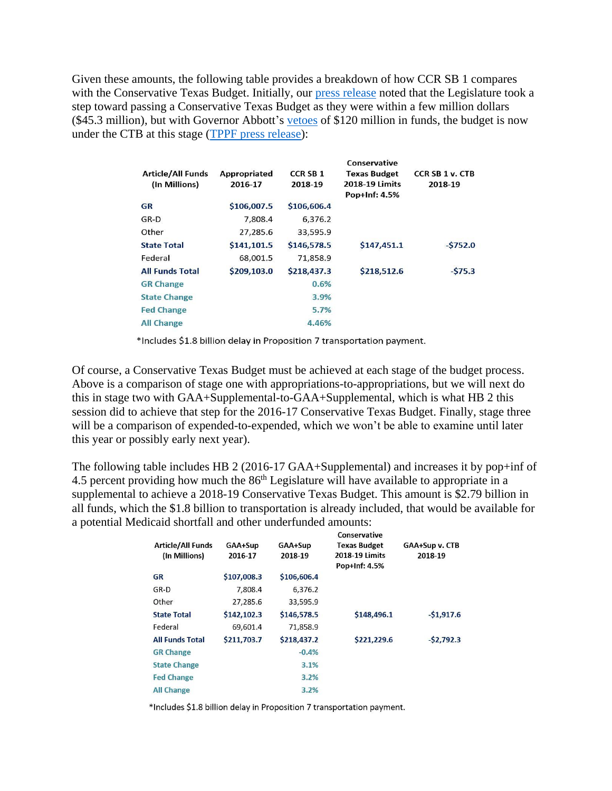Given these amounts, the following table provides a breakdown of how CCR SB 1 compares with the Conservative Texas Budget. Initially, our [press release](https://www.texaspolicy.com/press_release/detail/tppf-applauds-the-texas-legislatures-passage-of-the-2018-19-state-budget) noted that the Legislature took a step toward passing a Conservative Texas Budget as they were within a few million dollars (\$45.3 million), but with Governor Abbott's [vetoes](https://gov.texas.gov/uploads/files/press/06122017_BudgetAndLineItemVetos.pdf) of \$120 million in funds, the budget is now under the CTB at this stage [\(TPPF press release\)](https://t.co/SYPzc4ctA6):

|                          |                     |                 | Conservative        |                        |
|--------------------------|---------------------|-----------------|---------------------|------------------------|
| <b>Article/All Funds</b> | <b>Appropriated</b> | <b>CCR SB 1</b> | <b>Texas Budget</b> | <b>CCR SB 1 v. CTB</b> |
| (In Millions)            | 2016-17             | 2018-19         | 2018-19 Limits      | 2018-19                |
|                          |                     |                 | Pop+Inf: 4.5%       |                        |
| GR                       | \$106,007.5         | \$106,606.4     |                     |                        |
| GR-D                     | 7,808.4             | 6,376.2         |                     |                        |
| Other                    | 27,285.6            | 33,595.9        |                     |                        |
| <b>State Total</b>       | \$141,101.5         | \$146,578.5     | \$147,451.1         | $-5752.0$              |
| Federal                  | 68,001.5            | 71,858.9        |                     |                        |
| <b>All Funds Total</b>   | \$209,103.0         | \$218,437.3     | \$218,512.6         | $-575.3$               |
| <b>GR Change</b>         |                     | 0.6%            |                     |                        |
| <b>State Change</b>      |                     | 3.9%            |                     |                        |
| <b>Fed Change</b>        |                     | 5.7%            |                     |                        |
| <b>All Change</b>        |                     | 4.46%           |                     |                        |

\*Includes \$1.8 billion delay in Proposition 7 transportation payment.

Of course, a Conservative Texas Budget must be achieved at each stage of the budget process. Above is a comparison of stage one with appropriations-to-appropriations, but we will next do this in stage two with GAA+Supplemental-to-GAA+Supplemental, which is what HB 2 this session did to achieve that step for the 2016-17 Conservative Texas Budget. Finally, stage three will be a comparison of expended-to-expended, which we won't be able to examine until later this year or possibly early next year).

The following table includes HB 2 (2016-17 GAA+Supplemental) and increases it by pop+inf of 4.5 percent providing how much the  $86<sup>th</sup>$  Legislature will have available to appropriate in a supplemental to achieve a 2018-19 Conservative Texas Budget. This amount is \$2.79 billion in all funds, which the \$1.8 billion to transportation is already included, that would be available for a potential Medicaid shortfall and other underfunded amounts:

|                          |             |             | Conservative          |                |
|--------------------------|-------------|-------------|-----------------------|----------------|
| <b>Article/All Funds</b> | GAA+Sup     | GAA+Sup     | <b>Texas Budget</b>   | GAA+Sup v. CTB |
| (In Millions)            | 2016-17     | 2018-19     | <b>2018-19 Limits</b> | 2018-19        |
|                          |             |             | Pop+Inf: 4.5%         |                |
| <b>GR</b>                | \$107,008.3 | \$106,606.4 |                       |                |
| GR-D                     | 7.808.4     | 6.376.2     |                       |                |
| Other                    | 27.285.6    | 33.595.9    |                       |                |
| <b>State Total</b>       | \$142,102.3 | \$146,578.5 | \$148,496.1           | $-51,917.6$    |
| Federal                  | 69,601.4    | 71,858.9    |                       |                |
| <b>All Funds Total</b>   | \$211,703.7 | \$218,437.2 | \$221,229.6           | $-52,792.3$    |
| <b>GR Change</b>         |             | $-0.4%$     |                       |                |
| <b>State Change</b>      |             | 3.1%        |                       |                |
| <b>Fed Change</b>        |             | 3.2%        |                       |                |
| <b>All Change</b>        |             | 3.2%        |                       |                |

\*Includes \$1.8 billion delay in Proposition 7 transportation payment.